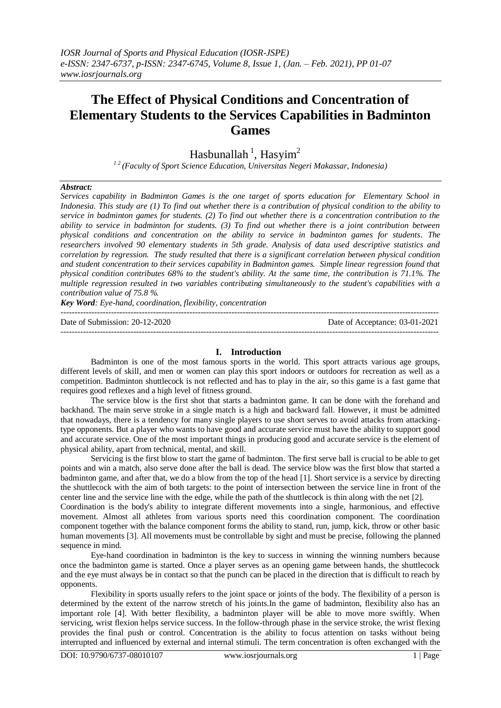# **The Effect of Physical Conditions and Concentration of Elementary Students to the Services Capabilities in Badminton Games**

Hasbunallah<sup>1</sup>, Hasyim<sup>2</sup>

*<sup>1</sup> <sup>2</sup>(Faculty of Sport Science Education, Universitas Negeri Makassar, Indonesia)* 

## *Abstract:*

*Services capability in Badminton Games is the one target of sports education for Elementary School in Indonesia. This study are (1) To find out whether there is a contribution of physical condition to the ability to service in badminton games for students. (2) To find out whether there is a concentration contribution to the ability to service in badminton for students. (3) To find out whether there is a joint contribution between physical conditions and concentration on the ability to service in badminton games for students. The researchers involved 90 elementary students in 5th grade. Analysis of data used descriptive statistics and correlation by regression. The study resulted that there is a significant correlation between physical condition and student concentration to their services capability in Badminton games. Simple linear regression found that physical condition contributes 68% to the student's ability. At the same time, the contribution is 71.1%. The multiple regression resulted in two variables contributing simultaneously to the student's capabilities with a contribution value of 75.8 %.*

*Key Word: Eye-hand, coordination, flexibility, concentration*

--------------------------------------------------------------------------------------------------------------------------------------- Date of Submission: 20-12-2020 Date of Acceptance: 03-01-2021

## **I. Introduction**

Badminton is one of the most famous sports in the world. This sport attracts various age groups, different levels of skill, and men or women can play this sport indoors or outdoors for recreation as well as a competition. Badminton shuttlecock is not reflected and has to play in the air, so this game is a fast game that requires good reflexes and a high level of fitness ground.

The service blow is the first shot that starts a badminton game. It can be done with the forehand and backhand. The main serve stroke in a single match is a high and backward fall. However, it must be admitted that nowadays, there is a tendency for many single players to use short serves to avoid attacks from attackingtype opponents. But a player who wants to have good and accurate service must have the ability to support good and accurate service. One of the most important things in producing good and accurate service is the element of physical ability, apart from technical, mental, and skill.

Servicing is the first blow to start the game of badminton. The first serve ball is crucial to be able to get points and win a match, also serve done after the ball is dead. The service blow was the first blow that started a badminton game, and after that, we do a blow from the top of the head [1]. Short service is a service by directing the shuttlecock with the aim of both targets: to the point of intersection between the service line in front of the center line and the service line with the edge, while the path of the shuttlecock is thin along with the net [2].

Coordination is the body's ability to integrate different movements into a single, harmonious, and effective movement. Almost all athletes from various sports need this coordination component. The coordination component together with the balance component forms the ability to stand, run, jump, kick, throw or other basic human movements [3]. All movements must be controllable by sight and must be precise, following the planned sequence in mind.

Eye-hand coordination in badminton is the key to success in winning the winning numbers because once the badminton game is started. Once a player serves as an opening game between hands, the shuttlecock and the eye must always be in contact so that the punch can be placed in the direction that is difficult to reach by opponents.

Flexibility in sports usually refers to the joint space or joints of the body. The flexibility of a person is determined by the extent of the narrow stretch of his joints.In the game of badminton, flexibility also has an important role [4]. With better flexibility, a badminton player will be able to move more swiftly. When servicing, wrist flexion helps service success. In the follow-through phase in the service stroke, the wrist flexing provides the final push or control. Concentration is the ability to focus attention on tasks without being interrupted and influenced by external and internal stimuli. The term concentration is often exchanged with the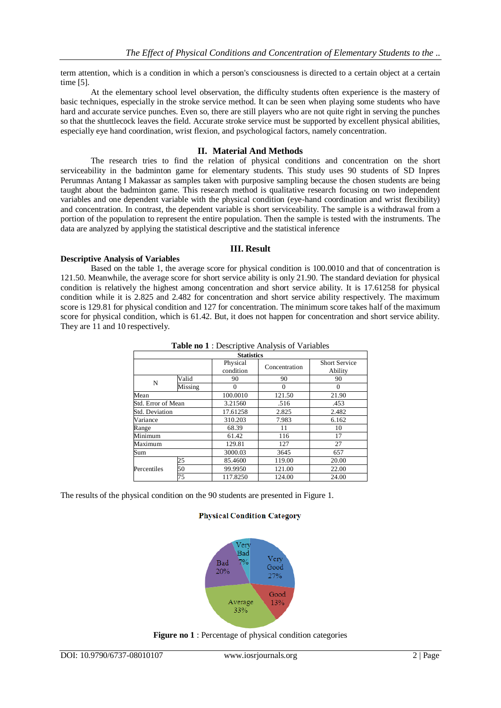term attention, which is a condition in which a person's consciousness is directed to a certain object at a certain time [5].

At the elementary school level observation, the difficulty students often experience is the mastery of basic techniques, especially in the stroke service method. It can be seen when playing some students who have hard and accurate service punches. Even so, there are still players who are not quite right in serving the punches so that the shuttlecock leaves the field. Accurate stroke service must be supported by excellent physical abilities, especially eye hand coordination, wrist flexion, and psychological factors, namely concentration.

## **II. Material And Methods**

The research tries to find the relation of physical conditions and concentration on the short serviceability in the badminton game for elementary students. This study uses 90 students of SD Inpres Perumnas Antang I Makassar as samples taken with purposive sampling because the chosen students are being taught about the badminton game. This research method is qualitative research focusing on two independent variables and one dependent variable with the physical condition (eye-hand coordination and wrist flexibility) and concentration. In contrast, the dependent variable is short serviceability. The sample is a withdrawal from a portion of the population to represent the entire population. Then the sample is tested with the instruments. The data are analyzed by applying the statistical descriptive and the statistical inference

## **III. Result**

## **Descriptive Analysis of Variables**

Based on the table 1, the average score for physical condition is 100.0010 and that of concentration is 121.50. Meanwhile, the average score for short service ability is only 21.90. The standard deviation for physical condition is relatively the highest among concentration and short service ability. It is 17.61258 for physical condition while it is 2.825 and 2.482 for concentration and short service ability respectively. The maximum score is 129.81 for physical condition and 127 for concentration. The minimum score takes half of the maximum score for physical condition, which is 61.42. But, it does not happen for concentration and short service ability. They are 11 and 10 respectively.

| <b>Statistics</b>  |               |                       |               |                                 |  |  |  |
|--------------------|---------------|-----------------------|---------------|---------------------------------|--|--|--|
|                    |               | Physical<br>condition | Concentration | <b>Short Service</b><br>Ability |  |  |  |
|                    | Valid         | 90                    | 90            | 90                              |  |  |  |
| N                  | Missing       | $\Omega$              | $\Omega$      | 0                               |  |  |  |
| Mean               |               | 100.0010              | 121.50        | 21.90                           |  |  |  |
| Std. Error of Mean |               | 3.21560               | .516          | .453                            |  |  |  |
| Std. Deviation     |               | 17.61258              | 2.825         | 2.482                           |  |  |  |
| Variance           |               | 310.203               | 7.983         | 6.162                           |  |  |  |
| Range              |               | 68.39                 | 11            | 10                              |  |  |  |
| Minimum            |               | 61.42                 | 116           | 17                              |  |  |  |
| Maximum            |               | 129.81                | 127           | 27                              |  |  |  |
| Sum                |               | 3000.03               | 3645          | 657                             |  |  |  |
|                    | 25            | 85.4600               | 119.00        | 20.00                           |  |  |  |
| Percentiles        | 50<br>99.9950 |                       | 121.00        | 22.00                           |  |  |  |
|                    | 75            | 117.8250              | 124.00        | 24.00                           |  |  |  |

**Table no 1** : Descriptive Analysis of Variables

The results of the physical condition on the 90 students are presented in Figure 1.

## **Physical Condition Category**



**Figure no 1** : Percentage of physical condition categories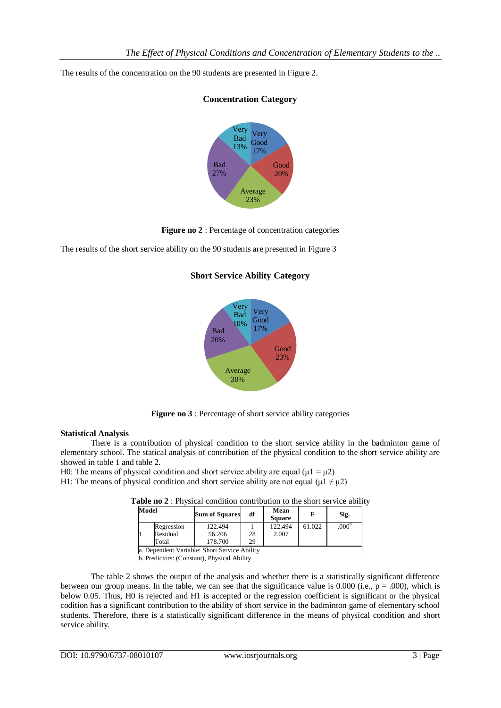The results of the concentration on the 90 students are presented in Figure 2.



# **Concentration Category**

**Figure no 2** : Percentage of concentration categories

The results of the short service ability on the 90 students are presented in Figure 3

## **Short Service Ability Category**



**Figure no 3** : Percentage of short service ability categories

## **Statistical Analysis**

There is a contribution of physical condition to the short service ability in the badminton game of elementary school. The statical analysis of contribution of the physical condition to the short service ability are showed in table 1 and table 2.

H0: The means of physical condition and short service ability are equal ( $\mu$ 1 =  $\mu$ 2) H1: The means of physical condition and short service ability are not equal ( $\mu$ 1  $\neq \mu$ 2)

| Model |                                              | <b>Sum of Squares</b> | df | Mean<br><b>Square</b> |        | Sig.              |  |  |
|-------|----------------------------------------------|-----------------------|----|-----------------------|--------|-------------------|--|--|
|       | Regression                                   | 122.494               |    | 122.494               | 61.022 | .000 <sup>b</sup> |  |  |
|       | Residual                                     | 56.206                | 28 | 2.007                 |        |                   |  |  |
|       | Total                                        | 178.700               | 29 |                       |        |                   |  |  |
|       | a. Dependent Variable: Short Service Ability |                       |    |                       |        |                   |  |  |

**Table no 2** : Physical condition contribution to the short service ability

b. Predictors: (Constant), Physical Ability

The table 2 shows the output of the analysis and whether there is a statistically significant difference between our group means. In the table, we can see that the significance value is 0.000 (i.e.,  $p = .000$ ), which is below 0.05. Thus, H0 is rejected and H1 is accepted or the regression coefficient is significant or the physical codition has a significant contribution to the ability of short service in the badminton game of elementary school students. Therefore, there is a statistically significant difference in the means of physical condition and short service ability.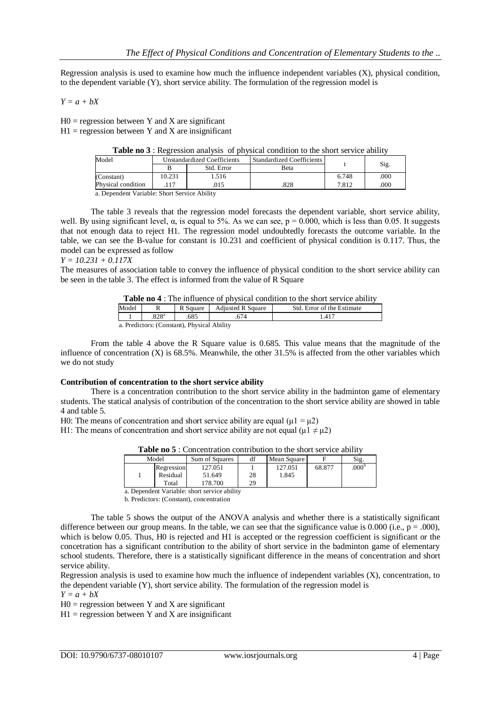Regression analysis is used to examine how much the influence independent variables (X), physical condition, to the dependent variable (Y), short service ability. The formulation of the regression model is

*Y = a + bX*

 $H0 =$  regression between Y and X are significant  $H1$  = regression between Y and X are insignificant

| Table no 3 : Regression analysis of physical condition to the short service ability |  |  |
|-------------------------------------------------------------------------------------|--|--|
|-------------------------------------------------------------------------------------|--|--|

| Model              |                                                                                                                                                                                                                                                                       | <b>Unstandardized Coefficients</b> | Standardized Coefficients |       |      |  |  |  |
|--------------------|-----------------------------------------------------------------------------------------------------------------------------------------------------------------------------------------------------------------------------------------------------------------------|------------------------------------|---------------------------|-------|------|--|--|--|
|                    |                                                                                                                                                                                                                                                                       | Std. Error                         | <b>B</b> eta              |       | Sig. |  |  |  |
| (Constant)         | 10.231                                                                                                                                                                                                                                                                | .516                               |                           | 6.748 | .000 |  |  |  |
| Physical condition |                                                                                                                                                                                                                                                                       | .015                               | .828                      | 7.812 | .000 |  |  |  |
|                    | $\mathbb{R}$ is the set of $\mathbb{R}$ is the set of $\mathbb{R}$ is the set of $\mathbb{R}$ is the set of $\mathbb{R}$ is the set of $\mathbb{R}$ is the set of $\mathbb{R}$ is the set of $\mathbb{R}$ is the set of $\mathbb{R}$ is the set of $\mathbb{R}$ is th |                                    |                           |       |      |  |  |  |

a. Dependent Variable: Short Service Ability

The table 3 reveals that the regression model forecasts the dependent variable, short service ability, well. By using significant level,  $\alpha$ , is equal to 5%. As we can see,  $p = 0.000$ , which is less than 0.05. It suggests that not enough data to reject H1. The regression model undoubtedly forecasts the outcome variable. In the table, we can see the B-value for constant is 10.231 and coefficient of physical condition is 0.117. Thus, the model can be expressed as follow

#### *Y = 10.231 + 0.117X*

The measures of association table to convey the influence of physical condition to the short service ability can be seen in the table 3. The effect is informed from the value of R Square

**Table no 4** : The influence of physical condition to the short service ability

| Model                                     |              | Square | <b>Adiusted R Square</b> | Std. Error of the Estimate |  |  |  |
|-------------------------------------------|--------------|--------|--------------------------|----------------------------|--|--|--|
|                                           | $Q \cap Q^a$ |        |                          | .411                       |  |  |  |
| a Predictors: (Constant) Physical Ability |              |        |                          |                            |  |  |  |

a. Predictors: (Constant), Physical Ability

From the table 4 above the R Square value is 0.685. This value means that the magnitude of the influence of concentration  $(X)$  is 68.5%. Meanwhile, the other 31.5% is affected from the other variables which we do not study

## **Contribution of concentration to the short service ability**

There is a concentration contribution to the short service ability in the badminton game of elementary students. The statical analysis of contribution of the concentration to the short service ability are showed in table 4 and table 5.

H0: The means of concentration and short service ability are equal ( $\mu$ 1 =  $\mu$ 2)

H1: The means of concentration and short service ability are not equal ( $\mu$ 1  $\neq \mu$ 2)

| <b>Table no 5</b> : Concentration contribution to the short service ability |  |
|-----------------------------------------------------------------------------|--|
|-----------------------------------------------------------------------------|--|

| Model      | Sum of Squares | df | Mean Square |        | Sig.             |
|------------|----------------|----|-------------|--------|------------------|
| Regression | 127.051        |    | 127.051     | 68.877 | 000 <sup>b</sup> |
| Residual   | 51.649         | 28 | 1.845       |        |                  |
| Total      | 178.700        | 29 |             |        |                  |

a. Dependent Variable: short service ability b. Predictors: (Constant), concentration

The table 5 shows the output of the ANOVA analysis and whether there is a statistically significant difference between our group means. In the table, we can see that the significance value is 0.000 (i.e.,  $p = .000$ ), which is below 0.05. Thus, H0 is rejected and H1 is accepted or the regression coefficient is significant or the concetration has a significant contribution to the ability of short service in the badminton game of elementary school students. Therefore, there is a statistically significant difference in the means of concentration and short service ability.

Regression analysis is used to examine how much the influence of independent variables (X), concentration, to the dependent variable (Y), short service ability. The formulation of the regression model is

 $Y = a + bX$ 

 $H0 =$  regression between Y and X are significant

 $H1$  = regression between Y and X are insignificant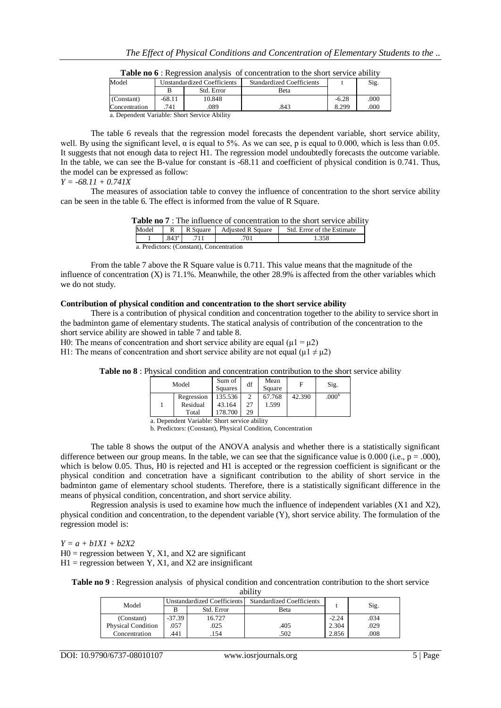| Model         |        | Unstandardized Coefficients                 | <b>Standardized Coefficients</b> |         | Sig. |
|---------------|--------|---------------------------------------------|----------------------------------|---------|------|
|               |        | Std. Error                                  | Beta                             |         |      |
| (Constant)    | -68.11 | 10.848                                      |                                  | $-6.28$ | .000 |
| Concentration | 741    | .089                                        | .843                             | 8.299   | .000 |
|               |        | a Dependent Variable: Short Service Ability |                                  |         |      |

**Table no 6** : Regression analysis of concentration to the short service ability

a. Dependent Variable: Short Service Ability

The table 6 reveals that the regression model forecasts the dependent variable, short service ability, well. By using the significant level,  $\alpha$  is equal to 5%. As we can see, p is equal to 0.000, which is less than 0.05. It suggests that not enough data to reject H1. The regression model undoubtedly forecasts the outcome variable. In the table, we can see the B-value for constant is -68.11 and coefficient of physical condition is 0.741. Thus, the model can be expressed as follow:

#### *Y = -68.11 + 0.741X*

The measures of association table to convey the influence of concentration to the short service ability can be seen in the table 6. The effect is informed from the value of R Square.

|  |  | <b>Table no 7</b> : The influence of concentration to the short service ability |  |
|--|--|---------------------------------------------------------------------------------|--|
|  |  |                                                                                 |  |

| Model                                    |                | R Square | <b>Adjusted R Square</b> | Std. Error of the Estimate |  |  |  |
|------------------------------------------|----------------|----------|--------------------------|----------------------------|--|--|--|
|                                          | $.843^{\circ}$ |          |                          | 1.358                      |  |  |  |
| a. Predictors: (Constant), Concentration |                |          |                          |                            |  |  |  |

From the table 7 above the R Square value is 0.711. This value means that the magnitude of the influence of concentration  $(X)$  is 71.1%. Meanwhile, the other 28.9% is affected from the other variables which we do not study.

#### **Contribution of physical condition and concentration to the short service ability**

There is a contribution of physical condition and concentration together to the ability to service short in the badminton game of elementary students. The statical analysis of contribution of the concentration to the short service ability are showed in table 7 and table 8.

H0: The means of concentration and short service ability are equal ( $\mu$ 1 =  $\mu$ 2)

H1: The means of concentration and short service ability are not equal ( $\mu$ 1  $\neq \mu$ 2)

| Table no 8 : Physical condition and concentration contribution to the short service ability |
|---------------------------------------------------------------------------------------------|
|---------------------------------------------------------------------------------------------|

| Model |            | Sum of<br>Squares | df             | Mean<br>Square | F      | Sig.              |
|-------|------------|-------------------|----------------|----------------|--------|-------------------|
|       | Regression | 135.536           | $\overline{c}$ | 67.768         | 42.390 | .000 <sup>b</sup> |
|       | Residual   | 43.164            | 27             | 1.599          |        |                   |
|       | Total      | 178.700           | 29             |                |        |                   |

a. Dependent Variable: Short service ability

b. Predictors: (Constant), Physical Condition, Concentration

The table 8 shows the output of the ANOVA analysis and whether there is a statistically significant difference between our group means. In the table, we can see that the significance value is 0.000 (i.e.,  $p = .000$ ), which is below 0.05. Thus, H0 is rejected and H1 is accepted or the regression coefficient is significant or the physical condition and concetration have a significant contribution to the ability of short service in the badminton game of elementary school students. Therefore, there is a statistically significant difference in the means of physical condition, concentration, and short service ability.

Regression analysis is used to examine how much the influence of independent variables  $(X1 \text{ and } X2)$ , physical condition and concentration, to the dependent variable (Y), short service ability. The formulation of the regression model is:

*Y = a + b1X1 + b2X2*

 $H0 =$  regression between Y, X1, and X2 are significant

 $H1$  = regression between Y, X1, and X2 are insignificant

**Table no 9** : Regression analysis of physical condition and concentration contribution to the short service ability

| -------                   |                             |            |                                  |         |      |  |  |
|---------------------------|-----------------------------|------------|----------------------------------|---------|------|--|--|
| Model                     | Unstandardized Coefficients |            | <b>Standardized Coefficients</b> |         | Sig. |  |  |
|                           |                             | Std. Error | Beta                             |         |      |  |  |
| (Constant)                | $-37.39$                    | 16.727     |                                  | $-2.24$ | .034 |  |  |
| <b>Physical Condition</b> | .057                        | .025       | .405                             | 2.304   | .029 |  |  |
| Concentration             | 441                         | .154       | .502                             | 2.856   | .008 |  |  |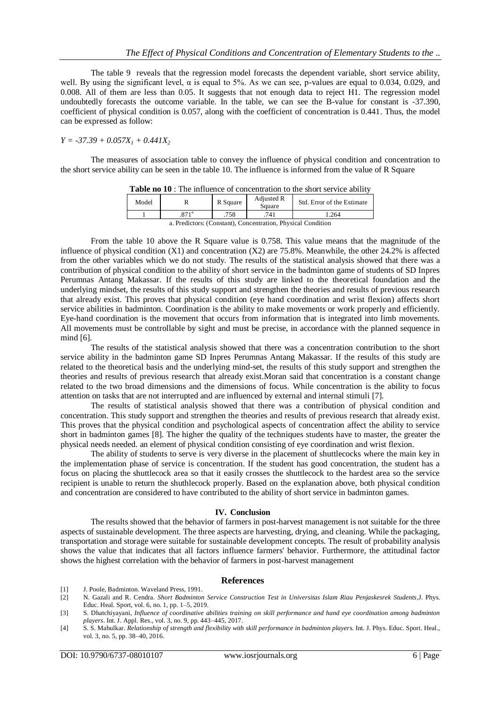The table 9 reveals that the regression model forecasts the dependent variable, short service ability, well. By using the significant level,  $\alpha$  is equal to 5%. As we can see, p-values are equal to 0.034, 0.029, and 0.008. All of them are less than 0.05. It suggests that not enough data to reject H1. The regression model undoubtedly forecasts the outcome variable. In the table, we can see the B-value for constant is -37.390, coefficient of physical condition is 0.057, along with the coefficient of concentration is 0.441. Thus, the model can be expressed as follow:

## *Y = -37.39 + 0.057X<sup>1</sup> + 0.441X<sup>2</sup>*

The measures of association table to convey the influence of physical condition and concentration to the short service ability can be seen in the table 10. The influence is informed from the value of R Square

| <b>Table no To</b> . The immunity of concentration to the short service ability |  |          |                      |                            |  |  |  |
|---------------------------------------------------------------------------------|--|----------|----------------------|----------------------------|--|--|--|
| Model                                                                           |  | R Square | Adjusted R<br>Square | Std. Error of the Estimate |  |  |  |
|                                                                                 |  | .758     | .741                 | .264                       |  |  |  |
| PULLO AND PULLO PULLO                                                           |  |          |                      |                            |  |  |  |

**Table no 10** : The influence of concentration to the short service ability

a. Predictors: (Constant), Concentration, Physical Condition

From the table 10 above the R Square value is 0.758. This value means that the magnitude of the influence of physical condition (X1) and concentration (X2) are 75.8%. Meanwhile, the other 24.2% is affected from the other variables which we do not study. The results of the statistical analysis showed that there was a contribution of physical condition to the ability of short service in the badminton game of students of SD Inpres Perumnas Antang Makassar. If the results of this study are linked to the theoretical foundation and the underlying mindset, the results of this study support and strengthen the theories and results of previous research that already exist. This proves that physical condition (eye hand coordination and wrist flexion) affects short service abilities in badminton. Coordination is the ability to make movements or work properly and efficiently. Eye-hand coordination is the movement that occurs from information that is integrated into limb movements. All movements must be controllable by sight and must be precise, in accordance with the planned sequence in mind [6].

The results of the statistical analysis showed that there was a concentration contribution to the short service ability in the badminton game SD Inpres Perumnas Antang Makassar. If the results of this study are related to the theoretical basis and the underlying mind-set, the results of this study support and strengthen the theories and results of previous research that already exist.Moran said that concentration is a constant change related to the two broad dimensions and the dimensions of focus. While concentration is the ability to focus attention on tasks that are not interrupted and are influenced by external and internal stimuli [7].

The results of statistical analysis showed that there was a contribution of physical condition and concentration. This study support and strengthen the theories and results of previous research that already exist. This proves that the physical condition and psychological aspects of concentration affect the ability to service short in badminton games [8]. The higher the quality of the techniques students have to master, the greater the physical needs needed. an element of physical condition consisting of eye coordination and wrist flexion.

The ability of students to serve is very diverse in the placement of shuttlecocks where the main key in the implementation phase of service is concentration. If the student has good concentration, the student has a focus on placing the shuttlecock area so that it easily crosses the shuttlecock to the hardest area so the service recipient is unable to return the shuthlecock properly. Based on the explanation above, both physical condition and concentration are considered to have contributed to the ability of short service in badminton games.

#### **IV. Conclusion**

The results showed that the behavior of farmers in post-harvest management is not suitable for the three aspects of sustainable development. The three aspects are harvesting, drying, and cleaning. While the packaging, transportation and storage were suitable for sustainable development concepts. The result of probability analysis shows the value that indicates that all factors influence farmers' behavior. Furthermore, the attitudinal factor shows the highest correlation with the behavior of farmers in post-harvest management

#### **References**

- [1] J. Poole, Badminton. Waveland Press, 1991.
- [2] N. Gazali and R. Cendra. *Short Badminton Service Construction Test in Universitas Islam Riau Penjaskesrek Students*,J. Phys. Educ. Heal. Sport, vol. 6, no. 1, pp. 1–5, 2019.
- [3] S. Dhatchiyayani, *Influence of coordinative abilities training on skill performance and hand eye coordination among badminton players*. Int. J. Appl. Res., vol. 3, no. 9, pp. 443–445, 2017.
- [4] S. S. Mahulkar. *Relationship of strength and flexibility with skill performance in badminton player*s. Int. J. Phys. Educ. Sport. Heal., vol. 3, no. 5, pp. 38–40, 2016.